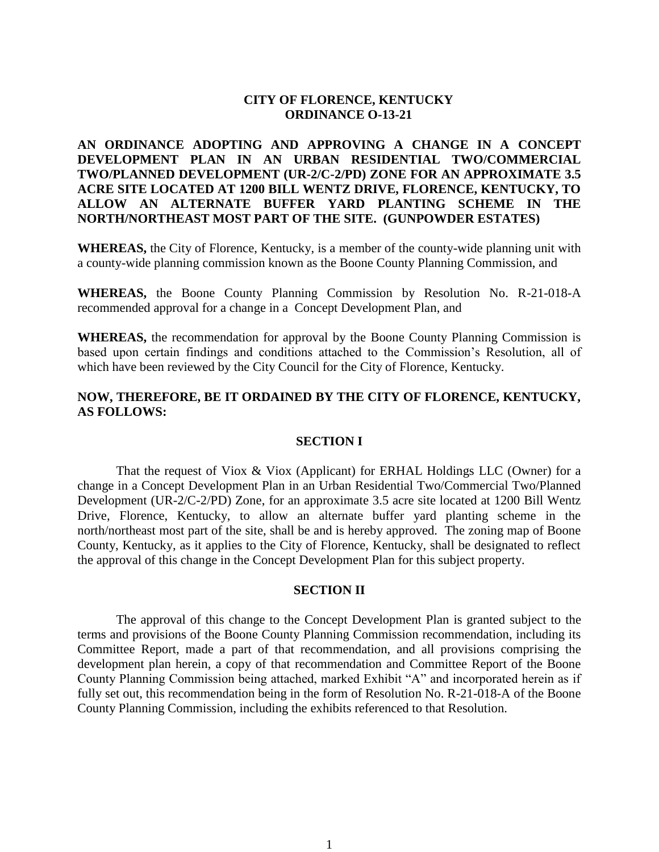## **CITY OF FLORENCE, KENTUCKY ORDINANCE O-13-21**

# **AN ORDINANCE ADOPTING AND APPROVING A CHANGE IN A CONCEPT DEVELOPMENT PLAN IN AN URBAN RESIDENTIAL TWO/COMMERCIAL TWO/PLANNED DEVELOPMENT (UR-2/C-2/PD) ZONE FOR AN APPROXIMATE 3.5 ACRE SITE LOCATED AT 1200 BILL WENTZ DRIVE, FLORENCE, KENTUCKY, TO ALLOW AN ALTERNATE BUFFER YARD PLANTING SCHEME IN THE NORTH/NORTHEAST MOST PART OF THE SITE. (GUNPOWDER ESTATES)**

**WHEREAS,** the City of Florence, Kentucky, is a member of the county-wide planning unit with a county-wide planning commission known as the Boone County Planning Commission, and

**WHEREAS,** the Boone County Planning Commission by Resolution No. R-21-018-A recommended approval for a change in a Concept Development Plan, and

**WHEREAS,** the recommendation for approval by the Boone County Planning Commission is based upon certain findings and conditions attached to the Commission's Resolution, all of which have been reviewed by the City Council for the City of Florence, Kentucky.

# **NOW, THEREFORE, BE IT ORDAINED BY THE CITY OF FLORENCE, KENTUCKY, AS FOLLOWS:**

#### **SECTION I**

That the request of Viox & Viox (Applicant) for ERHAL Holdings LLC (Owner) for a change in a Concept Development Plan in an Urban Residential Two/Commercial Two/Planned Development (UR-2/C-2/PD) Zone, for an approximate 3.5 acre site located at 1200 Bill Wentz Drive, Florence, Kentucky, to allow an alternate buffer yard planting scheme in the north/northeast most part of the site, shall be and is hereby approved. The zoning map of Boone County, Kentucky, as it applies to the City of Florence, Kentucky, shall be designated to reflect the approval of this change in the Concept Development Plan for this subject property.

### **SECTION II**

The approval of this change to the Concept Development Plan is granted subject to the terms and provisions of the Boone County Planning Commission recommendation, including its Committee Report, made a part of that recommendation, and all provisions comprising the development plan herein, a copy of that recommendation and Committee Report of the Boone County Planning Commission being attached, marked Exhibit "A" and incorporated herein as if fully set out, this recommendation being in the form of Resolution No. R-21-018-A of the Boone County Planning Commission, including the exhibits referenced to that Resolution.